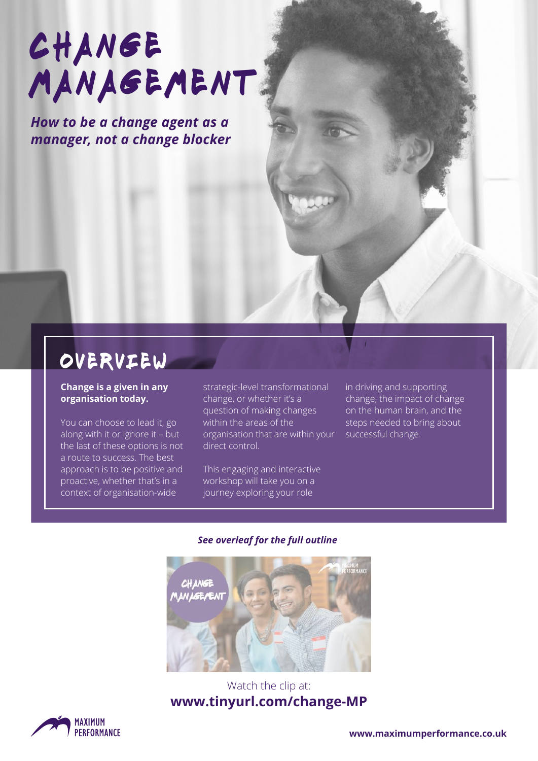# **CHANGE** MANAGEMENT.

*How to be a change agent as a manager, not a change blocker*

### overview

#### **Change is a given in any organisation today.**

You can choose to lead it, go along with it or ignore it – but the last of these options is not a route to success. The best approach is to be positive and proactive, whether that's in a context of organisation-wide

strategic-level transformational change, or whether it's a question of making changes within the areas of the organisation that are within your direct control.

This engaging and interactive workshop will take you on a journey exploring your role

in driving and supporting change, the impact of change on the human brain, and the steps needed to bring about successful change.

#### *See overleaf for the full outline*



#### Watch the clip at: **www.tinyurl.com/change-MP**